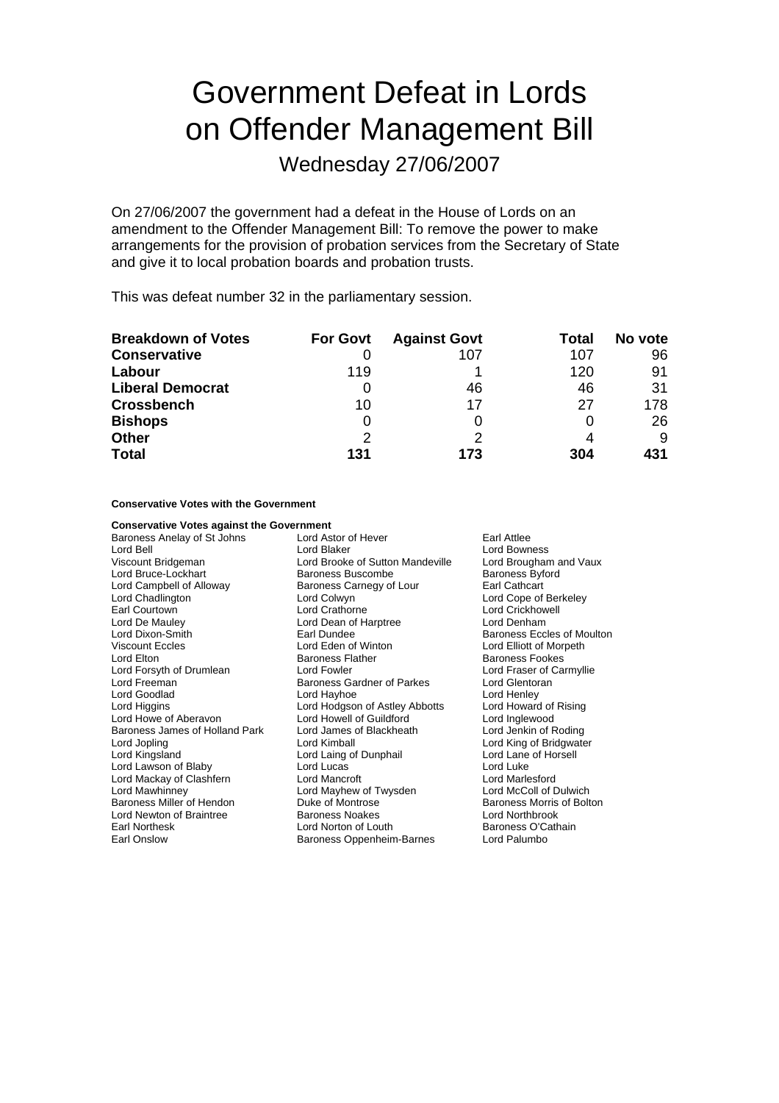# Government Defeat in Lords on Offender Management Bill

Wednesday 27/06/2007

On 27/06/2007 the government had a defeat in the House of Lords on an amendment to the Offender Management Bill: To remove the power to make arrangements for the provision of probation services from the Secretary of State and give it to local probation boards and probation trusts.

This was defeat number 32 in the parliamentary session.

| <b>Breakdown of Votes</b> | <b>For Govt</b> | <b>Against Govt</b> | Total | No vote |
|---------------------------|-----------------|---------------------|-------|---------|
| <b>Conservative</b>       |                 | 107                 | 107   | 96      |
| Labour                    | 119             |                     | 120   | 91      |
| <b>Liberal Democrat</b>   | O               | 46                  | 46    | 31      |
| <b>Crossbench</b>         | 10              | 17                  | 27    | 178     |
| <b>Bishops</b>            | 0               |                     |       | 26      |
| <b>Other</b>              | 2               |                     |       | 9       |
| <b>Total</b>              | 131             | 173                 | 304   | 431     |

**Conservative Votes with the Government**

| <b>Conservative Votes against the Government</b> |                                  |                            |
|--------------------------------------------------|----------------------------------|----------------------------|
| Baroness Anelay of St Johns                      | Lord Astor of Hever              | Earl Attlee                |
| Lord Bell                                        | Lord Blaker                      | Lord Bowness               |
| Viscount Bridgeman                               | Lord Brooke of Sutton Mandeville | Lord Brougham and Vaux     |
| Lord Bruce-Lockhart                              | <b>Baroness Buscombe</b>         | <b>Baroness Byford</b>     |
| Lord Campbell of Alloway                         | Baroness Carnegy of Lour         | Earl Cathcart              |
| Lord Chadlington                                 | Lord Colwyn                      | Lord Cope of Berkeley      |
| Earl Courtown                                    | Lord Crathorne                   | Lord Crickhowell           |
| Lord De Mauley                                   | Lord Dean of Harptree            | Lord Denham                |
| Lord Dixon-Smith                                 | Earl Dundee                      | Baroness Eccles of Moulton |
| Viscount Eccles                                  | Lord Eden of Winton              | Lord Elliott of Morpeth    |
| Lord Elton                                       | <b>Baroness Flather</b>          | <b>Baroness Fookes</b>     |
| Lord Forsyth of Drumlean                         | Lord Fowler                      | Lord Fraser of Carmyllie   |
| Lord Freeman                                     | Baroness Gardner of Parkes       | Lord Glentoran             |
| Lord Goodlad                                     | Lord Hayhoe                      | Lord Henley                |
| Lord Higgins                                     | Lord Hodgson of Astley Abbotts   | Lord Howard of Rising      |
| Lord Howe of Aberavon                            | Lord Howell of Guildford         | Lord Inglewood             |
| Baroness James of Holland Park                   | Lord James of Blackheath         | Lord Jenkin of Roding      |
| Lord Jopling                                     | Lord Kimball                     | Lord King of Bridgwater    |
| Lord Kingsland                                   | Lord Laing of Dunphail           | Lord Lane of Horsell       |
| Lord Lawson of Blaby                             | Lord Lucas                       | Lord Luke                  |
| Lord Mackay of Clashfern                         | Lord Mancroft                    | Lord Marlesford            |
| Lord Mawhinney                                   | Lord Mayhew of Twysden           | Lord McColl of Dulwich     |
| Baroness Miller of Hendon                        | Duke of Montrose                 | Baroness Morris of Bolton  |
| Lord Newton of Braintree                         | <b>Baroness Noakes</b>           | Lord Northbrook            |
| Earl Northesk                                    | Lord Norton of Louth             | Baroness O'Cathain         |
| Earl Onslow                                      | Baroness Oppenheim-Barnes        | Lord Palumbo               |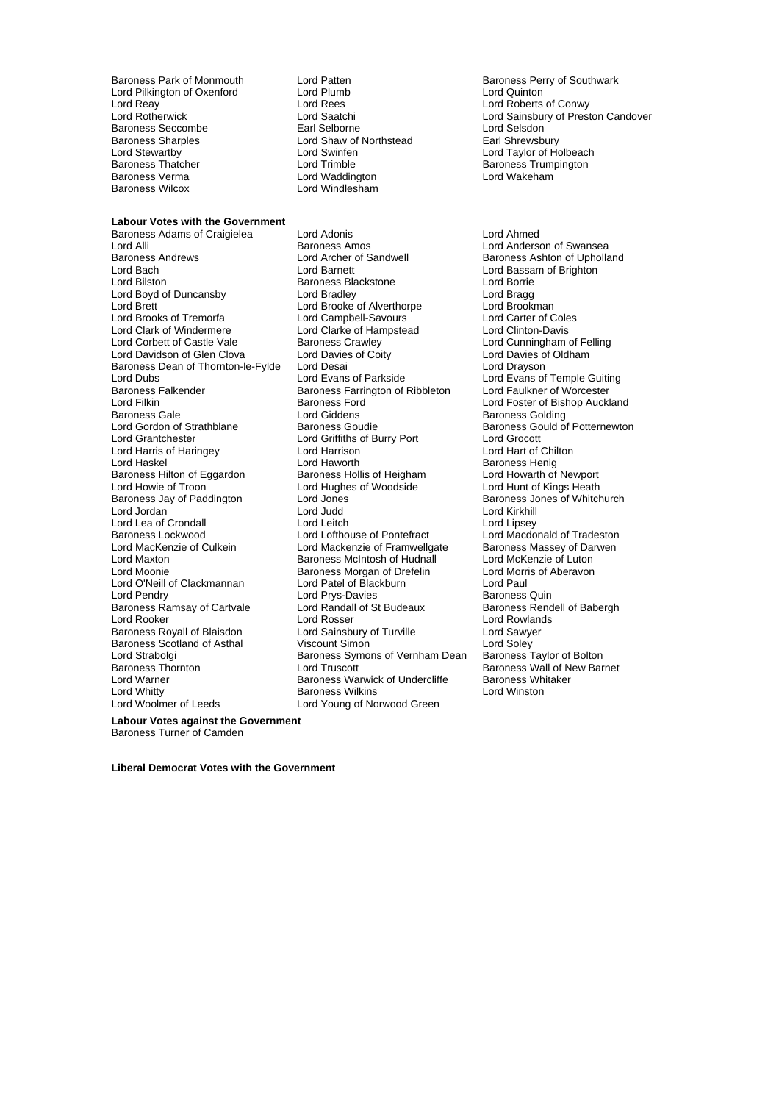Lord Pilkington of Oxenford Lord Plumb Lord Reav<br>
Lord Reav Lord Rees Lord Reay Lord Rees Lord Roberts of Conwy Baroness Seccombe **Earl Selborne** Earl Selborne Earl Selsdon<sup>1</sup><br>Baroness Sharples **Earl Selborne Contract Contract Contract** Earl Shrewsbury Baroness Sharples<br>
Lord Stewartby<br>
Lord Swinfen<br>
Lord Swinfen Lord Stewartby Lord Swinfen Lord Communication and Lord Taylor of Holbeach<br>
Baroness Thatcher Lord Trimble Lord Trimble Baroness Trumpington Baroness Thatcher **Exercise Search Hourier Lord Trimble Contract Convertional Baroness Trumpington**<br>Baroness Verma **Convertional Lord Waddington Convertional Lord Wakeham** Baroness Verma Lord Waddington<br>
Baroness Wilcox Lord Windlesham

#### **Labour Votes with the Government**

Baroness Dean of Thornton-le-Fylde Lord Desai<br>Lord Dubs Lord Evans of Parkside Baroness Falkender Baroness Farrington of Ribbleton Lord Filkiner Caucaster Care Baroness Ford Lord Harris of Haringey **Lord Harrison** Baroness Hilton of Eggardon Baroness Hollis of Heighan<br>Lord Howie of Troon Lord Hughes of Woodside Baroness Ramsay of Cartvale Lord Whitty **Baroness Wilkins** Lord Woolmer of Leeds **Lord Young of Norwood Green** 

Lord Windlesham

Baroness Adams of Craigielea Lord Adonis Lord Ahmed Lord Alli **Communist Communist Baroness Amos** Cord Anderson of Swansea<br>Baroness Andrews **Lord Archer of Sandwell** Baroness Ashton of Upholla Baroness Andrews **Lord Archer of Sandwell** Baroness Ashton of Upholland Lord Rach<br>Lord Baronet Lord Baronet Lord Barsam of Brighton Lord Bilston **Baroness Blackstone**<br>
Lord Boyd of Duncansby **Baroness Blackstone** Lord Borrie<br>
Lord Bradge Lord Bradey Lord Boyd of Duncansby Lord Bradley Lord Bragg Lord Brooke of Alverthorpe Lord Brooks of Tremorfa **Lord Campbell-Savours** Lord Carter of Coles Lord Clark of Windermere **Lord Clarke of Hampstead** Lord Clinton-Davis<br>
Lord Corbett of Castle Vale **Baroness Crawley** Lord Cunningham on Baroness Crawley **Corpe Corpe Access** Crawley Lord Cunningham of Felling<br>
Lord Davies of Coity Lord Davies of Oldham Lord Davidson of Glen Clova Lord Davies of Coity<br>
Baroness Dean of Thornton-le-Fylde Lord Desai Cord Drayson Lord Dubs **Lord Evans of Parkside** Lord Evans of Temple Guiting<br>
Baroness Falkender **Baroness Farrington** of Ribbleton Lord Faulkner of Worcester Baroness Gale **Baroness Colding**<br>
Lord Gordon of Strathblane **Baroness Goudie** Baroness Gould of Lord Gordon of Strathblane<br>
Lord Gordon of Strathblane<br>
Lord Grantchester Lord Griffiths of Burry Port Lord Grocott Lord Griffiths of Burry Port Lord Grocott<br>
Lord Harrison Lord Hart of Chilton Lord Haskel Lord Haworth Lord Haworth Charless Henig<br>
Baroness Hilton of Eggardon Baroness Hollis of Heigham Lord Howarth of Newport Lord Howie of Troon Lord Hughes of Woodside<br>Baroness Jay of Paddington Lord Jones Lord Jones Baroness Jones of Whitch Lord Jones<br>
Lord Judd<br>
Lord Judd<br>
Lord Kirkhill Lord Jordan Lord Judd Lord Kirkhill Lord Lea of Crondall Lord Leitch Lord Leitch Lord Lipsey<br>
Lord Lord Lord Lord Lofthouse of Pontefract Lord Macdonald of Tradeston Lord Lofthouse of Pontefract Lord MacKenzie of Culkein **Lord Mackenzie of Framwellgate** Baroness Massey of Darwen<br>Lord Maxton **Collect Container Baroness McIntosh of Hudnall** Lord McKenzie of Luton Lord Maxton **Baroness McIntosh of Hudnall** Lord McKenzie of Luton<br>Lord Moonie **Baroness Morgan of Drefelin** Lord Morris of Aberavon Baroness Morgan of Drefelin Lord O'Neill of Clackmannan Lord Patel of Blackburn Lord Paul Lord Prys-Davies **Communist Communist Communist Pendry Pendry Prime Communist Property**<br>
Lord Randall of St Budeaux **Baroness Rendell of Babergh** Lord Rooker **Lord Rooker** Lord Rosser **Lord Rooker** Lord Rowlands Baroness Royall of Blaisdon Lord Sainsbury of Turville Lord Sawyer<br>
Baroness Scotland of Asthal Viscount Simon Lord Soley Baroness Scotland of Asthal Viscount Simon Lord Soley<br>
Lord Strabolgi Cord Strabolgi Baroness Symons of Vernham Dean Baroness Taylor of Bolton Lord Strabolgi Baroness Symons of Vernham Dean Baroness Thornton<br>Baroness Thornton Lord Truscott Baroness Thornton **Exercise Control** Lord Truscott **Baroness Wall of New Barnet**<br>Lord Warner **Baroness Warwick of Undercliffe** Baroness Whitaker Baroness Warwick of Undercliffe Baroness Wh<br>Baroness Wilkins Baroness Whitaker

Baroness Park of Monmouth Lord Patten and Baroness Perry of Southwark<br>
Lord Pilkington of Oxenford Lord Plumb Lord Dunner Lord Quinton Lord Saatchi Lord Sainsbury of Preston Candover<br>
Earl Selborne Lord Selsdon

> Lord Bassam of Brighton Lord Foster of Bishop Auckland

**Labour Votes against the Government** Baroness Turner of Camden

**Liberal Democrat Votes with the Government**